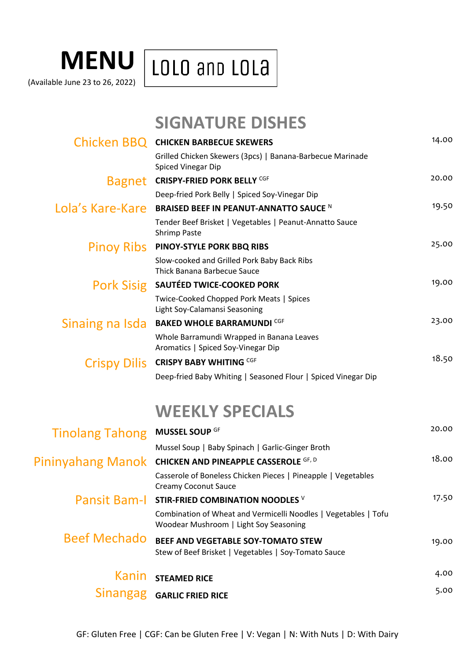## **MENU** LOLO and LOLA

(Available June 23 to 26, 2022)

**SIGNATURE DISHES**

|                        | Chicken BBQ CHICKEN BARBECUE SKEWERS                                                         | 14.00 |
|------------------------|----------------------------------------------------------------------------------------------|-------|
|                        | Grilled Chicken Skewers (3pcs)   Banana-Barbecue Marinade<br>Spiced Vinegar Dip              |       |
|                        | Bagnet CRISPY-FRIED PORK BELLY CGF                                                           | 20.00 |
|                        | Deep-fried Pork Belly   Spiced Soy-Vinegar Dip                                               |       |
| Lola's Kare-Kare       | BRAISED BEEF IN PEANUT-ANNATTO SAUCE N                                                       | 19.50 |
|                        | Tender Beef Brisket   Vegetables   Peanut-Annatto Sauce<br><b>Shrimp Paste</b>               |       |
|                        | PINOY RIDS PINOY-STYLE PORK BBQ RIBS                                                         | 25.00 |
|                        | Slow-cooked and Grilled Pork Baby Back Ribs<br>Thick Banana Barbecue Sauce                   |       |
| <b>Pork Sisig</b>      | SAUTÉED TWICE-COOKED PORK                                                                    | 19.00 |
|                        | Twice-Cooked Chopped Pork Meats   Spices<br>Light Soy-Calamansi Seasoning                    |       |
| Sinaing na Isda        | <b>BAKED WHOLE BARRAMUNDI CGF</b>                                                            | 23.00 |
|                        | Whole Barramundi Wrapped in Banana Leaves<br>Aromatics   Spiced Soy-Vinegar Dip              |       |
|                        | Crispy Dilis CRISPY BABY WHITING CGF                                                         | 18.50 |
|                        | Deep-fried Baby Whiting   Seasoned Flour   Spiced Vinegar Dip                                |       |
|                        | <b>WEEKLY SPECIALS</b>                                                                       |       |
| <b>Tinolang Tahong</b> | MUSSEL SOUP GF                                                                               | 20.00 |
|                        | Mussel Soup   Baby Spinach   Garlic-Ginger Broth                                             |       |
| Pininyahang Manok      | <b>CHICKEN AND PINEAPPLE CASSEROLE GF, D</b>                                                 | 18.00 |
|                        | Casserole of Boneless Chicken Pieces   Pineapple   Vegetables<br><b>Creamy Coconut Sauce</b> |       |
| <b>Pansit Bam-I</b>    | STIR-FRIED COMBINATION NOODLES V                                                             | 17.50 |

|                     | <b>Kanin</b> STEAMED RICE                                                                                 | 4.00  |
|---------------------|-----------------------------------------------------------------------------------------------------------|-------|
| <b>Beef Mechado</b> | BEEF AND VEGETABLE SOY-TOMATO STEW<br>Stew of Beef Brisket   Vegetables   Soy-Tomato Sauce                | 19.00 |
|                     | Combination of Wheat and Vermicelli Noodles   Vegetables   Tofu<br>Woodear Mushroom   Light Soy Seasoning |       |

| Sinangag GARLIC FRIED RICE | 5.00 |
|----------------------------|------|
|                            |      |